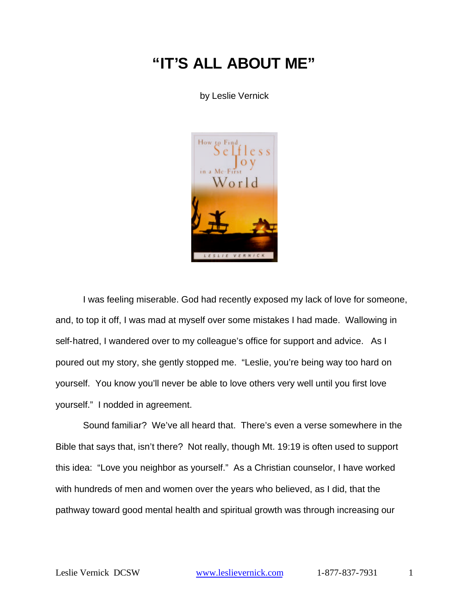# **"IT'S ALL ABOUT ME"**

by Leslie Vernick



I was feeling miserable. God had recently exposed my lack of love for someone, and, to top it off, I was mad at myself over some mistakes I had made. Wallowing in self-hatred, I wandered over to my colleague's office for support and advice. As I poured out my story, she gently stopped me. "Leslie, you're being way too hard on yourself. You know you'll never be able to love others very well until you first love yourself." I nodded in agreement.

Sound familiar? We've all heard that. There's even a verse somewhere in the Bible that says that, isn't there? Not really, though Mt. 19:19 is often used to support this idea: "Love you neighbor as yourself." As a Christian counselor, I have worked with hundreds of men and women over the years who believed, as I did, that the pathway toward good mental health and spiritual growth was through increasing our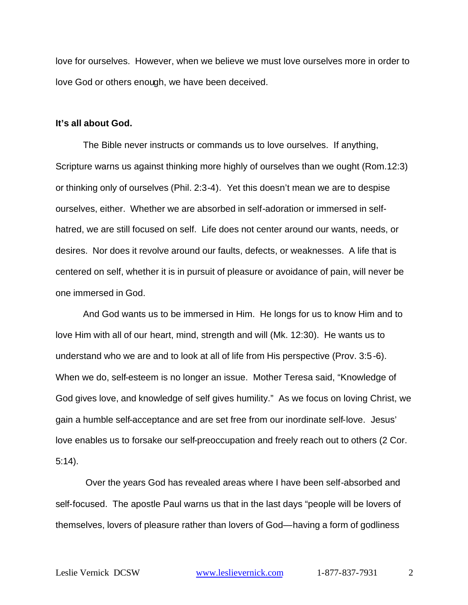love for ourselves. However, when we believe we must love ourselves more in order to love God or others enough, we have been deceived.

#### **It's all about God.**

The Bible never instructs or commands us to love ourselves. If anything, Scripture warns us against thinking more highly of ourselves than we ought (Rom.12:3) or thinking only of ourselves (Phil. 2:3-4). Yet this doesn't mean we are to despise ourselves, either. Whether we are absorbed in self-adoration or immersed in selfhatred, we are still focused on self. Life does not center around our wants, needs, or desires. Nor does it revolve around our faults, defects, or weaknesses. A life that is centered on self, whether it is in pursuit of pleasure or avoidance of pain, will never be one immersed in God.

And God wants us to be immersed in Him. He longs for us to know Him and to love Him with all of our heart, mind, strength and will (Mk. 12:30). He wants us to understand who we are and to look at all of life from His perspective (Prov. 3:5-6). When we do, self-esteem is no longer an issue. Mother Teresa said, "Knowledge of God gives love, and knowledge of self gives humility." As we focus on loving Christ, we gain a humble self-acceptance and are set free from our inordinate self-love. Jesus' love enables us to forsake our self-preoccupation and freely reach out to others (2 Cor. 5:14).

 Over the years God has revealed areas where I have been self-absorbed and self-focused. The apostle Paul warns us that in the last days "people will be lovers of themselves, lovers of pleasure rather than lovers of God—having a form of godliness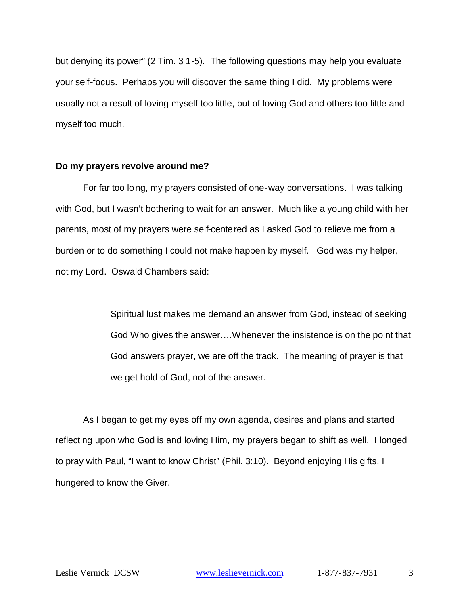but denying its power" (2 Tim. 3 1-5). The following questions may help you evaluate your self-focus. Perhaps you will discover the same thing I did. My problems were usually not a result of loving myself too little, but of loving God and others too little and myself too much.

### **Do my prayers revolve around me?**

For far too long, my prayers consisted of one-way conversations. I was talking with God, but I wasn't bothering to wait for an answer. Much like a young child with her parents, most of my prayers were self-centered as I asked God to relieve me from a burden or to do something I could not make happen by myself. God was my helper, not my Lord. Oswald Chambers said:

> Spiritual lust makes me demand an answer from God, instead of seeking God Who gives the answer….Whenever the insistence is on the point that God answers prayer, we are off the track. The meaning of prayer is that we get hold of God, not of the answer.

As I began to get my eyes off my own agenda, desires and plans and started reflecting upon who God is and loving Him, my prayers began to shift as well. I longed to pray with Paul, "I want to know Christ" (Phil. 3:10). Beyond enjoying His gifts, I hungered to know the Giver.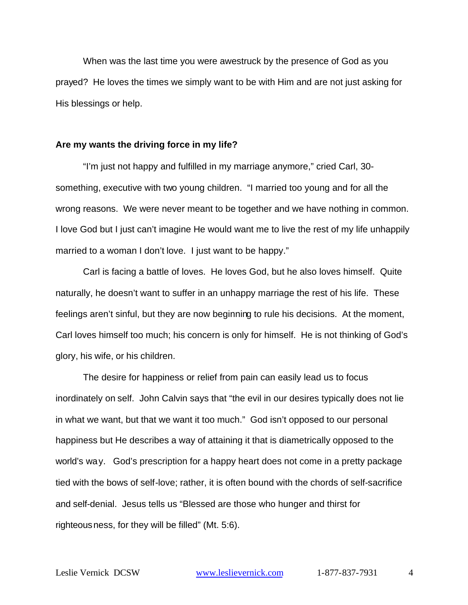When was the last time you were awestruck by the presence of God as you prayed? He loves the times we simply want to be with Him and are not just asking for His blessings or help.

## **Are my wants the driving force in my life?**

"I'm just not happy and fulfilled in my marriage anymore," cried Carl, 30 something, executive with two young children. "I married too young and for all the wrong reasons. We were never meant to be together and we have nothing in common. I love God but I just can't imagine He would want me to live the rest of my life unhappily married to a woman I don't love. I just want to be happy."

Carl is facing a battle of loves. He loves God, but he also loves himself. Quite naturally, he doesn't want to suffer in an unhappy marriage the rest of his life. These feelings aren't sinful, but they are now beginning to rule his decisions. At the moment, Carl loves himself too much; his concern is only for himself. He is not thinking of God's glory, his wife, or his children.

The desire for happiness or relief from pain can easily lead us to focus inordinately on self. John Calvin says that "the evil in our desires typically does not lie in what we want, but that we want it too much." God isn't opposed to our personal happiness but He describes a way of attaining it that is diametrically opposed to the world's way. God's prescription for a happy heart does not come in a pretty package tied with the bows of self-love; rather, it is often bound with the chords of self-sacrifice and self-denial. Jesus tells us "Blessed are those who hunger and thirst for righteousness, for they will be filled" (Mt. 5:6).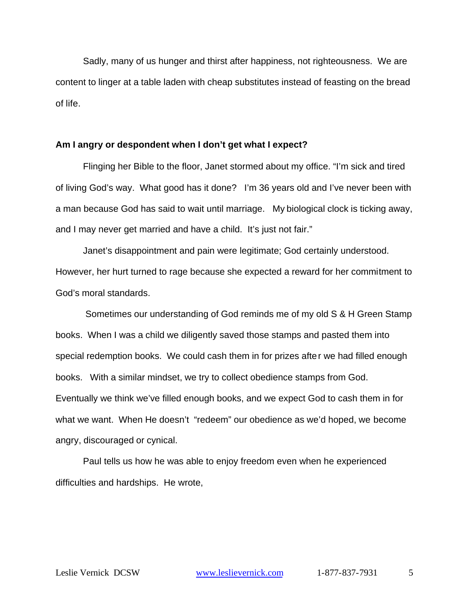Sadly, many of us hunger and thirst after happiness, not righteousness. We are content to linger at a table laden with cheap substitutes instead of feasting on the bread of life.

## **Am I angry or despondent when I don't get what I expect?**

Flinging her Bible to the floor, Janet stormed about my office. "I'm sick and tired of living God's way. What good has it done? I'm 36 years old and I've never been with a man because God has said to wait until marriage. My biological clock is ticking away, and I may never get married and have a child. It's just not fair."

Janet's disappointment and pain were legitimate; God certainly understood. However, her hurt turned to rage because she expected a reward for her commitment to God's moral standards.

 Sometimes our understanding of God reminds me of my old S & H Green Stamp books. When I was a child we diligently saved those stamps and pasted them into special redemption books. We could cash them in for prizes after we had filled enough books. With a similar mindset, we try to collect obedience stamps from God. Eventually we think we've filled enough books, and we expect God to cash them in for what we want. When He doesn't "redeem" our obedience as we'd hoped, we become angry, discouraged or cynical.

Paul tells us how he was able to enjoy freedom even when he experienced difficulties and hardships. He wrote,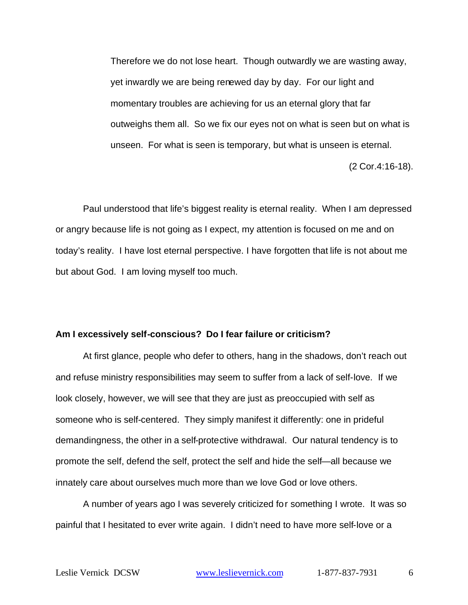Therefore we do not lose heart. Though outwardly we are wasting away, yet inwardly we are being renewed day by day. For our light and momentary troubles are achieving for us an eternal glory that far outweighs them all. So we fix our eyes not on what is seen but on what is unseen. For what is seen is temporary, but what is unseen is eternal.

(2 Cor.4:16-18).

Paul understood that life's biggest reality is eternal reality. When I am depressed or angry because life is not going as I expect, my attention is focused on me and on today's reality. I have lost eternal perspective. I have forgotten that life is not about me but about God. I am loving myself too much.

## **Am I excessively self-conscious? Do I fear failure or criticism?**

At first glance, people who defer to others, hang in the shadows, don't reach out and refuse ministry responsibilities may seem to suffer from a lack of self-love. If we look closely, however, we will see that they are just as preoccupied with self as someone who is self-centered. They simply manifest it differently: one in prideful demandingness, the other in a self-protective withdrawal. Our natural tendency is to promote the self, defend the self, protect the self and hide the self—all because we innately care about ourselves much more than we love God or love others.

A number of years ago I was severely criticized for something I wrote. It was so painful that I hesitated to ever write again. I didn't need to have more self-love or a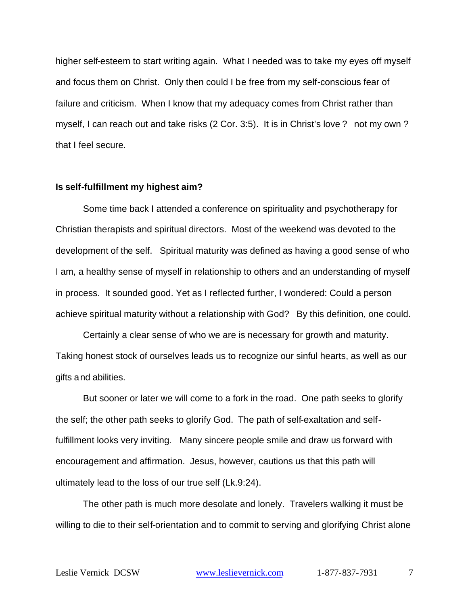higher self-esteem to start writing again. What I needed was to take my eyes off myself and focus them on Christ. Only then could I be free from my self-conscious fear of failure and criticism. When I know that my adequacy comes from Christ rather than myself, I can reach out and take risks (2 Cor. 3:5). It is in Christ's love ? not my own ? that I feel secure.

#### **Is self-fulfillment my highest aim?**

Some time back I attended a conference on spirituality and psychotherapy for Christian therapists and spiritual directors. Most of the weekend was devoted to the development of the self. Spiritual maturity was defined as having a good sense of who I am, a healthy sense of myself in relationship to others and an understanding of myself in process. It sounded good. Yet as I reflected further, I wondered: Could a person achieve spiritual maturity without a relationship with God? By this definition, one could.

Certainly a clear sense of who we are is necessary for growth and maturity. Taking honest stock of ourselves leads us to recognize our sinful hearts, as well as our gifts and abilities.

But sooner or later we will come to a fork in the road. One path seeks to glorify the self; the other path seeks to glorify God. The path of self-exaltation and selffulfillment looks very inviting. Many sincere people smile and draw us forward with encouragement and affirmation. Jesus, however, cautions us that this path will ultimately lead to the loss of our true self (Lk.9:24).

The other path is much more desolate and lonely. Travelers walking it must be willing to die to their self-orientation and to commit to serving and glorifying Christ alone